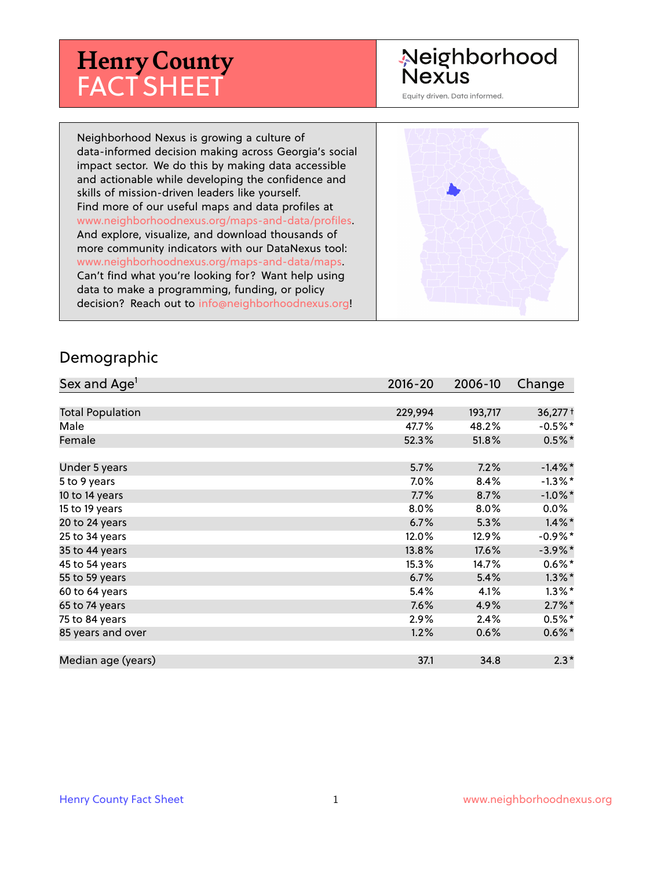# **Henry County** FACT SHEET

# Neighborhood **Nexus**

Equity driven. Data informed.

Neighborhood Nexus is growing a culture of data-informed decision making across Georgia's social impact sector. We do this by making data accessible and actionable while developing the confidence and skills of mission-driven leaders like yourself. Find more of our useful maps and data profiles at www.neighborhoodnexus.org/maps-and-data/profiles. And explore, visualize, and download thousands of more community indicators with our DataNexus tool: www.neighborhoodnexus.org/maps-and-data/maps. Can't find what you're looking for? Want help using data to make a programming, funding, or policy decision? Reach out to [info@neighborhoodnexus.org!](mailto:info@neighborhoodnexus.org)



#### Demographic

| Sex and Age <sup>1</sup> | $2016 - 20$ | 2006-10 | Change                |
|--------------------------|-------------|---------|-----------------------|
|                          |             |         |                       |
| <b>Total Population</b>  | 229,994     | 193,717 | $36,277$ <sup>+</sup> |
| Male                     | 47.7%       | 48.2%   | $-0.5\%$ *            |
| Female                   | 52.3%       | 51.8%   | $0.5\%$ *             |
|                          |             |         |                       |
| Under 5 years            | 5.7%        | 7.2%    | $-1.4\%$ *            |
| 5 to 9 years             | 7.0%        | 8.4%    | $-1.3\%$ *            |
| 10 to 14 years           | 7.7%        | 8.7%    | $-1.0\%$ *            |
| 15 to 19 years           | 8.0%        | 8.0%    | $0.0\%$               |
| 20 to 24 years           | 6.7%        | 5.3%    | $1.4\%$ *             |
| 25 to 34 years           | 12.0%       | 12.9%   | $-0.9%$ *             |
| 35 to 44 years           | 13.8%       | 17.6%   | $-3.9\%$ *            |
| 45 to 54 years           | 15.3%       | 14.7%   | $0.6\%$ *             |
| 55 to 59 years           | 6.7%        | 5.4%    | $1.3\%$ *             |
| 60 to 64 years           | 5.4%        | 4.1%    | $1.3\%$ *             |
| 65 to 74 years           | 7.6%        | 4.9%    | $2.7\%$ *             |
| 75 to 84 years           | 2.9%        | 2.4%    | $0.5%$ *              |
| 85 years and over        | 1.2%        | 0.6%    | $0.6\%$ *             |
|                          |             |         |                       |
| Median age (years)       | 37.1        | 34.8    | $2.3*$                |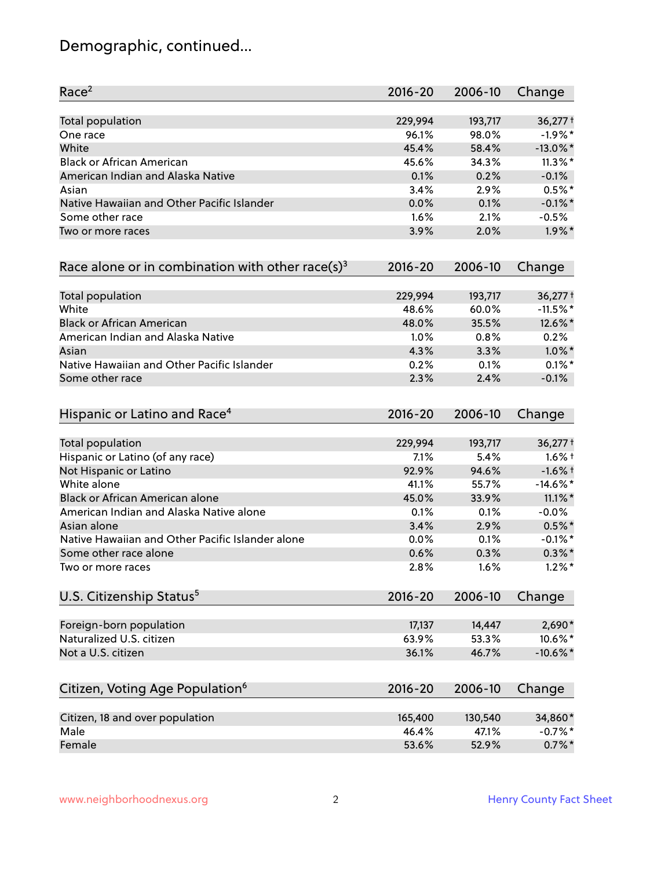# Demographic, continued...

| Race <sup>2</sup>                                   | $2016 - 20$ | 2006-10 | Change                |
|-----------------------------------------------------|-------------|---------|-----------------------|
| <b>Total population</b>                             | 229,994     | 193,717 | $36,277$ <sup>+</sup> |
| One race                                            | 96.1%       | 98.0%   | $-1.9%$ *             |
| White                                               | 45.4%       | 58.4%   | $-13.0\%$ *           |
| <b>Black or African American</b>                    | 45.6%       | 34.3%   | $11.3\%$ *            |
| American Indian and Alaska Native                   | 0.1%        | 0.2%    | $-0.1%$               |
| Asian                                               | 3.4%        | 2.9%    | $0.5%$ *              |
| Native Hawaiian and Other Pacific Islander          | 0.0%        | 0.1%    | $-0.1\%$ *            |
| Some other race                                     | 1.6%        | 2.1%    | $-0.5%$               |
| Two or more races                                   | 3.9%        | 2.0%    | $1.9\%$ *             |
| Race alone or in combination with other race(s) $3$ | $2016 - 20$ | 2006-10 | Change                |
| Total population                                    | 229,994     | 193,717 | $36,277$ <sup>+</sup> |
| White                                               | 48.6%       | 60.0%   | $-11.5%$ *            |
| <b>Black or African American</b>                    | 48.0%       | 35.5%   | 12.6%*                |
| American Indian and Alaska Native                   | 1.0%        | 0.8%    | 0.2%                  |
| Asian                                               | 4.3%        | 3.3%    | $1.0\%$ *             |
| Native Hawaiian and Other Pacific Islander          | 0.2%        | 0.1%    | $0.1\%$ *             |
| Some other race                                     | 2.3%        | 2.4%    | $-0.1%$               |
| Hispanic or Latino and Race <sup>4</sup>            | $2016 - 20$ | 2006-10 | Change                |
| <b>Total population</b>                             | 229,994     | 193,717 | $36,277$ <sup>+</sup> |
| Hispanic or Latino (of any race)                    | 7.1%        | 5.4%    | $1.6\%$ †             |
| Not Hispanic or Latino                              | 92.9%       | 94.6%   | $-1.6%$ †             |
| White alone                                         | 41.1%       | 55.7%   | $-14.6\%$ *           |
| Black or African American alone                     | 45.0%       | 33.9%   | $11.1\%$ *            |
| American Indian and Alaska Native alone             | 0.1%        | 0.1%    | $-0.0%$               |
| Asian alone                                         | 3.4%        | 2.9%    | $0.5%$ *              |
| Native Hawaiian and Other Pacific Islander alone    | 0.0%        | 0.1%    | $-0.1\%$ *            |
| Some other race alone                               | 0.6%        | 0.3%    | $0.3\% *$             |
| Two or more races                                   | 2.8%        | 1.6%    | $1.2\%$ *             |
| U.S. Citizenship Status <sup>5</sup>                | $2016 - 20$ | 2006-10 | Change                |
| Foreign-born population                             | 17,137      | 14,447  | 2,690*                |
| Naturalized U.S. citizen                            | 63.9%       | 53.3%   | 10.6%*                |
| Not a U.S. citizen                                  | 36.1%       | 46.7%   | $-10.6\%$ *           |
| Citizen, Voting Age Population <sup>6</sup>         | $2016 - 20$ | 2006-10 | Change                |
|                                                     |             |         |                       |
| Citizen, 18 and over population                     | 165,400     | 130,540 | 34,860*               |
| Male                                                | 46.4%       | 47.1%   | $-0.7%$ *             |
| Female                                              | 53.6%       | 52.9%   | $0.7\%$ *             |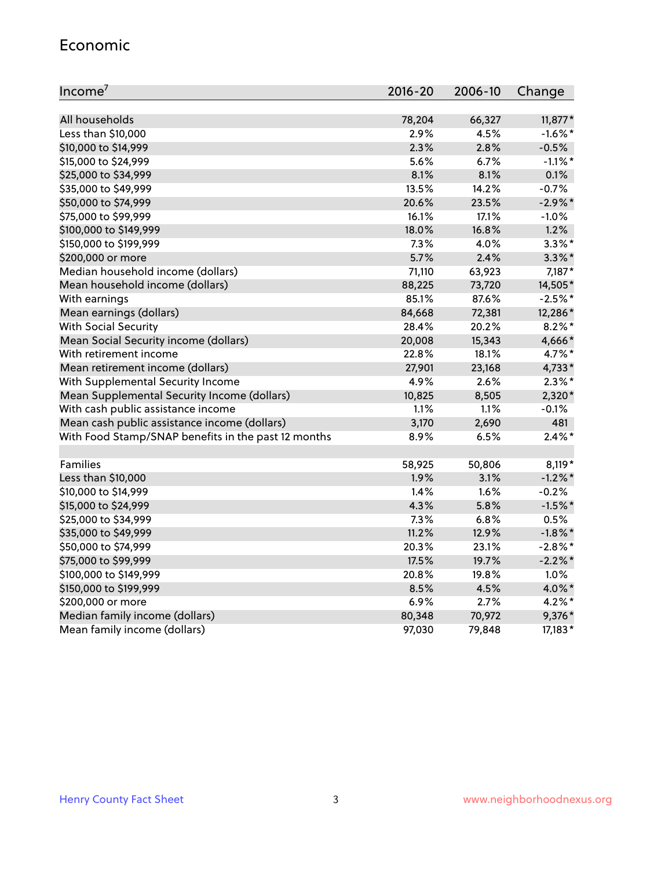#### Economic

| Income <sup>7</sup>                                 | $2016 - 20$ | 2006-10 | Change     |
|-----------------------------------------------------|-------------|---------|------------|
|                                                     |             |         |            |
| All households                                      | 78,204      | 66,327  | $11,877*$  |
| Less than \$10,000                                  | 2.9%        | 4.5%    | $-1.6\%$ * |
| \$10,000 to \$14,999                                | 2.3%        | 2.8%    | $-0.5%$    |
| \$15,000 to \$24,999                                | 5.6%        | 6.7%    | $-1.1\%$ * |
| \$25,000 to \$34,999                                | 8.1%        | 8.1%    | 0.1%       |
| \$35,000 to \$49,999                                | 13.5%       | 14.2%   | $-0.7%$    |
| \$50,000 to \$74,999                                | 20.6%       | 23.5%   | $-2.9\%$ * |
| \$75,000 to \$99,999                                | 16.1%       | 17.1%   | $-1.0%$    |
| \$100,000 to \$149,999                              | 18.0%       | 16.8%   | 1.2%       |
| \$150,000 to \$199,999                              | 7.3%        | 4.0%    | $3.3\%$ *  |
| \$200,000 or more                                   | 5.7%        | 2.4%    | $3.3\%$ *  |
| Median household income (dollars)                   | 71,110      | 63,923  | 7,187*     |
| Mean household income (dollars)                     | 88,225      | 73,720  | 14,505*    |
| With earnings                                       | 85.1%       | 87.6%   | $-2.5%$ *  |
| Mean earnings (dollars)                             | 84,668      | 72,381  | 12,286*    |
| <b>With Social Security</b>                         | 28.4%       | 20.2%   | $8.2\%$ *  |
| Mean Social Security income (dollars)               | 20,008      | 15,343  | 4,666*     |
| With retirement income                              | 22.8%       | 18.1%   | 4.7%*      |
| Mean retirement income (dollars)                    | 27,901      | 23,168  | 4,733*     |
| With Supplemental Security Income                   | 4.9%        | 2.6%    | $2.3\%$ *  |
| Mean Supplemental Security Income (dollars)         | 10,825      | 8,505   | 2,320*     |
| With cash public assistance income                  | 1.1%        | 1.1%    | $-0.1%$    |
| Mean cash public assistance income (dollars)        | 3,170       | 2,690   | 481        |
| With Food Stamp/SNAP benefits in the past 12 months | 8.9%        | 6.5%    | $2.4\%$ *  |
|                                                     |             |         |            |
| Families                                            | 58,925      | 50,806  | 8,119*     |
| Less than \$10,000                                  | 1.9%        | 3.1%    | $-1.2\%$ * |
| \$10,000 to \$14,999                                | 1.4%        | 1.6%    | $-0.2%$    |
| \$15,000 to \$24,999                                | 4.3%        | 5.8%    | $-1.5%$ *  |
| \$25,000 to \$34,999                                | 7.3%        | 6.8%    | 0.5%       |
| \$35,000 to \$49,999                                | 11.2%       | 12.9%   | $-1.8\%$ * |
| \$50,000 to \$74,999                                | 20.3%       | 23.1%   | $-2.8\%$ * |
| \$75,000 to \$99,999                                | 17.5%       | 19.7%   | $-2.2%$ *  |
| \$100,000 to \$149,999                              | 20.8%       | 19.8%   | 1.0%       |
| \$150,000 to \$199,999                              | 8.5%        | 4.5%    | 4.0%*      |
| \$200,000 or more                                   | 6.9%        | 2.7%    | $4.2\%$ *  |
| Median family income (dollars)                      | 80,348      | 70,972  | 9,376*     |
| Mean family income (dollars)                        | 97,030      | 79,848  | 17,183*    |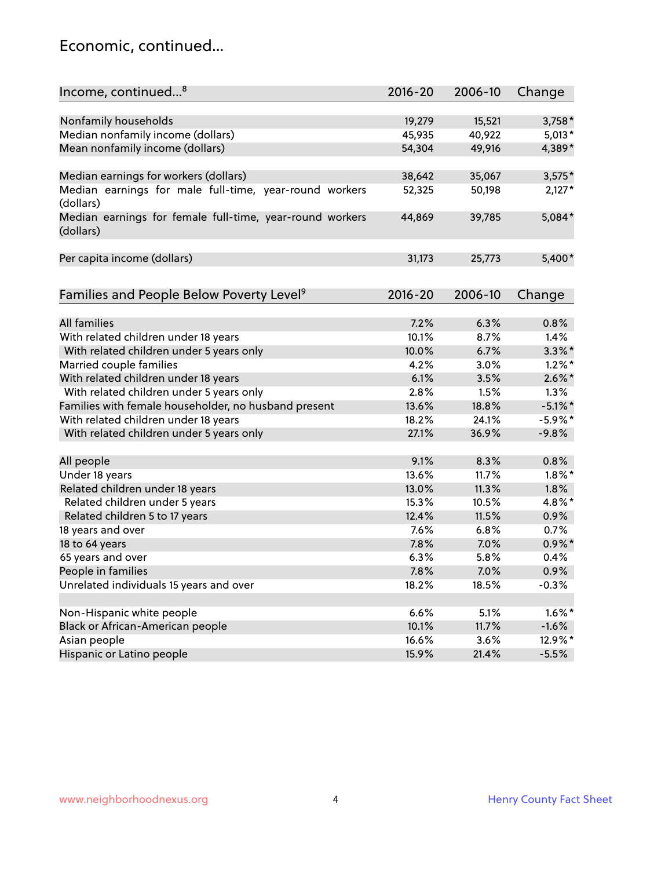### Economic, continued...

| Income, continued <sup>8</sup>                                        | $2016 - 20$ | 2006-10 | Change     |
|-----------------------------------------------------------------------|-------------|---------|------------|
|                                                                       |             |         |            |
| Nonfamily households                                                  | 19,279      | 15,521  | $3,758*$   |
| Median nonfamily income (dollars)                                     | 45,935      | 40,922  | $5,013*$   |
| Mean nonfamily income (dollars)                                       | 54,304      | 49,916  | 4,389*     |
| Median earnings for workers (dollars)                                 | 38,642      | 35,067  | $3,575*$   |
| Median earnings for male full-time, year-round workers                | 52,325      | 50,198  | $2,127*$   |
| (dollars)                                                             |             |         |            |
| Median earnings for female full-time, year-round workers<br>(dollars) | 44,869      | 39,785  | 5,084*     |
| Per capita income (dollars)                                           | 31,173      | 25,773  | 5,400*     |
|                                                                       |             |         |            |
| Families and People Below Poverty Level <sup>9</sup>                  | $2016 - 20$ | 2006-10 | Change     |
|                                                                       |             |         |            |
| All families                                                          | 7.2%        | 6.3%    | 0.8%       |
| With related children under 18 years                                  | 10.1%       | 8.7%    | 1.4%       |
| With related children under 5 years only                              | 10.0%       | 6.7%    | $3.3\%$ *  |
| Married couple families                                               | 4.2%        | 3.0%    | $1.2\%$ *  |
| With related children under 18 years                                  | 6.1%        | 3.5%    | $2.6\%$ *  |
| With related children under 5 years only                              | 2.8%        | 1.5%    | 1.3%       |
| Families with female householder, no husband present                  | 13.6%       | 18.8%   | $-5.1\%$ * |
| With related children under 18 years                                  | 18.2%       | 24.1%   | $-5.9\%$ * |
| With related children under 5 years only                              | 27.1%       | 36.9%   | $-9.8%$    |
| All people                                                            | 9.1%        | 8.3%    | 0.8%       |
| Under 18 years                                                        | 13.6%       | 11.7%   | $1.8\%$ *  |
| Related children under 18 years                                       | 13.0%       | 11.3%   | 1.8%       |
| Related children under 5 years                                        | 15.3%       | 10.5%   | 4.8%*      |
| Related children 5 to 17 years                                        | 12.4%       | 11.5%   | 0.9%       |
| 18 years and over                                                     | 7.6%        | 6.8%    | 0.7%       |
| 18 to 64 years                                                        | 7.8%        | 7.0%    | $0.9\%$ *  |
| 65 years and over                                                     | 6.3%        | 5.8%    | 0.4%       |
| People in families                                                    | 7.8%        | 7.0%    | 0.9%       |
| Unrelated individuals 15 years and over                               | 18.2%       | 18.5%   | $-0.3%$    |
|                                                                       |             |         |            |
| Non-Hispanic white people                                             | 6.6%        | 5.1%    | $1.6\%$ *  |
| Black or African-American people                                      | 10.1%       | 11.7%   | $-1.6%$    |
| Asian people                                                          | 16.6%       | 3.6%    | 12.9%*     |
| Hispanic or Latino people                                             | 15.9%       | 21.4%   | $-5.5%$    |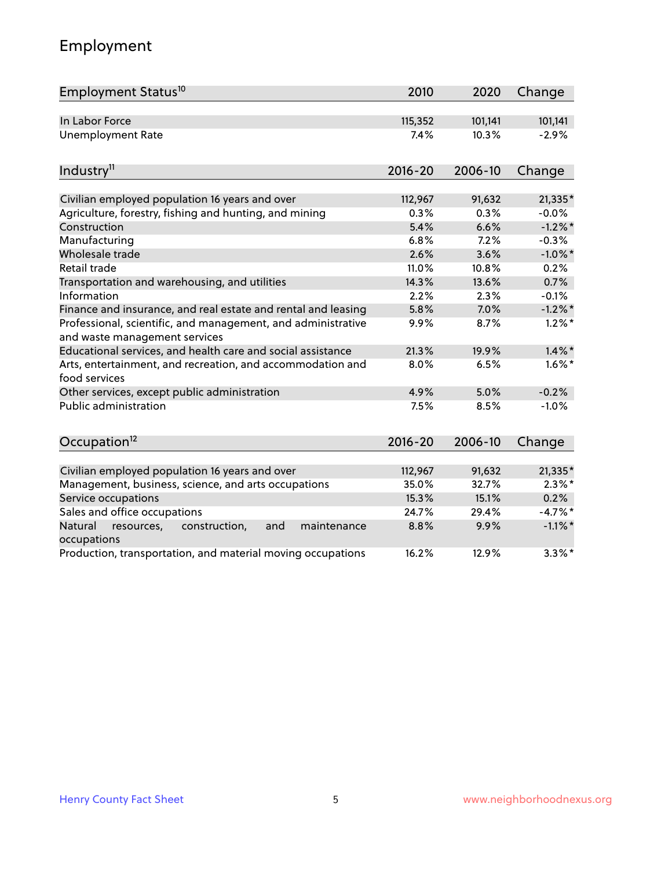# Employment

| Employment Status <sup>10</sup>                                                               | 2010        | 2020    | Change     |
|-----------------------------------------------------------------------------------------------|-------------|---------|------------|
| In Labor Force                                                                                | 115,352     | 101,141 | 101,141    |
| <b>Unemployment Rate</b>                                                                      | 7.4%        | 10.3%   | $-2.9%$    |
| Industry <sup>11</sup>                                                                        | $2016 - 20$ | 2006-10 | Change     |
| Civilian employed population 16 years and over                                                | 112,967     | 91,632  | $21,335*$  |
| Agriculture, forestry, fishing and hunting, and mining                                        | 0.3%        | 0.3%    | $-0.0%$    |
| Construction                                                                                  | 5.4%        | 6.6%    | $-1.2\%$ * |
| Manufacturing                                                                                 | 6.8%        | 7.2%    | $-0.3%$    |
| Wholesale trade                                                                               | 2.6%        | 3.6%    | $-1.0\%$ * |
| Retail trade                                                                                  | 11.0%       | 10.8%   | 0.2%       |
| Transportation and warehousing, and utilities                                                 | 14.3%       | 13.6%   | 0.7%       |
| Information                                                                                   | 2.2%        | 2.3%    | $-0.1%$    |
| Finance and insurance, and real estate and rental and leasing                                 | 5.8%        | 7.0%    | $-1.2\%$ * |
| Professional, scientific, and management, and administrative<br>and waste management services | 9.9%        | 8.7%    | $1.2\%$ *  |
| Educational services, and health care and social assistance                                   | 21.3%       | 19.9%   | $1.4\%$ *  |
| Arts, entertainment, and recreation, and accommodation and<br>food services                   | 8.0%        | 6.5%    | $1.6\%$ *  |
| Other services, except public administration                                                  | 4.9%        | 5.0%    | $-0.2%$    |
| <b>Public administration</b>                                                                  | 7.5%        | 8.5%    | $-1.0%$    |
| Occupation <sup>12</sup>                                                                      | $2016 - 20$ | 2006-10 | Change     |
| Civilian employed population 16 years and over                                                | 112,967     | 91,632  | 21,335*    |
| Management, business, science, and arts occupations                                           | 35.0%       | 32.7%   | $2.3\%$ *  |
| Service occupations                                                                           | 15.3%       | 15.1%   | 0.2%       |
| Sales and office occupations                                                                  | 24.7%       | 29.4%   | $-4.7%$ *  |
| Natural<br>resources,<br>construction,<br>and<br>maintenance<br>occupations                   | 8.8%        | 9.9%    | $-1.1\%$ * |
| Production, transportation, and material moving occupations                                   | 16.2%       | 12.9%   | $3.3\%$ *  |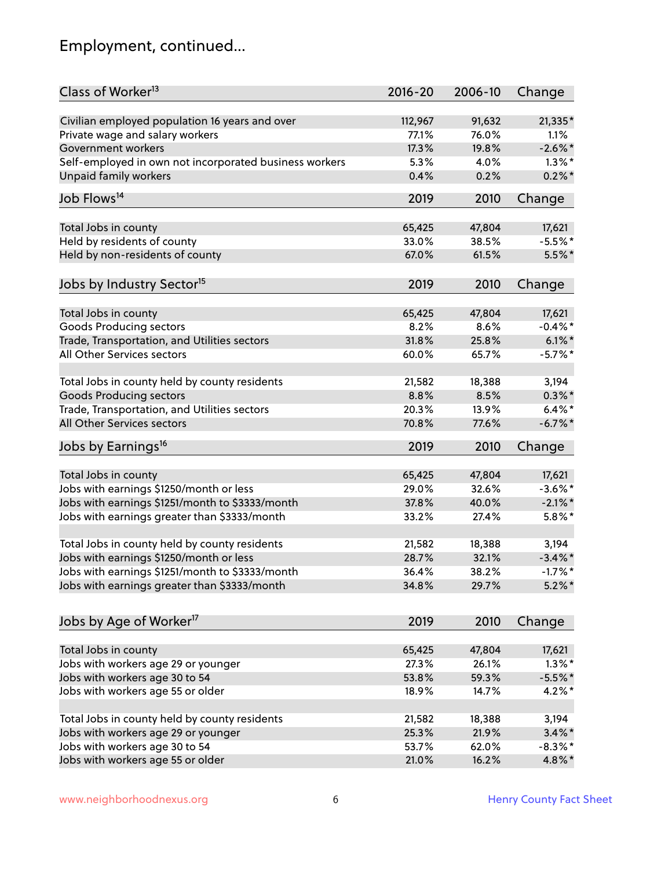# Employment, continued...

| Class of Worker <sup>13</sup>                          | $2016 - 20$ | 2006-10 | Change     |
|--------------------------------------------------------|-------------|---------|------------|
| Civilian employed population 16 years and over         | 112,967     | 91,632  | 21,335*    |
| Private wage and salary workers                        | 77.1%       | 76.0%   | 1.1%       |
| Government workers                                     | 17.3%       | 19.8%   | $-2.6\%$ * |
| Self-employed in own not incorporated business workers | 5.3%        | 4.0%    | $1.3\%$ *  |
| <b>Unpaid family workers</b>                           | 0.4%        | 0.2%    | $0.2\%$ *  |
|                                                        |             |         |            |
| Job Flows <sup>14</sup>                                | 2019        | 2010    | Change     |
| Total Jobs in county                                   | 65,425      | 47,804  | 17,621     |
| Held by residents of county                            | 33.0%       | 38.5%   | $-5.5%$ *  |
| Held by non-residents of county                        | 67.0%       | 61.5%   | $5.5\%$ *  |
|                                                        |             |         |            |
| Jobs by Industry Sector <sup>15</sup>                  | 2019        | 2010    | Change     |
| Total Jobs in county                                   | 65,425      | 47,804  | 17,621     |
| <b>Goods Producing sectors</b>                         | 8.2%        | 8.6%    | $-0.4\%$ * |
| Trade, Transportation, and Utilities sectors           | 31.8%       | 25.8%   | $6.1\%$ *  |
| All Other Services sectors                             | 60.0%       | 65.7%   | $-5.7\%$ * |
|                                                        |             |         |            |
| Total Jobs in county held by county residents          | 21,582      | 18,388  | 3,194      |
| <b>Goods Producing sectors</b>                         | 8.8%        | 8.5%    | $0.3\%$ *  |
| Trade, Transportation, and Utilities sectors           | 20.3%       | 13.9%   | $6.4\%$ *  |
| All Other Services sectors                             | 70.8%       | 77.6%   | $-6.7\%$ * |
| Jobs by Earnings <sup>16</sup>                         | 2019        | 2010    | Change     |
| Total Jobs in county                                   | 65,425      | 47,804  | 17,621     |
| Jobs with earnings \$1250/month or less                | 29.0%       | 32.6%   | $-3.6\%$ * |
| Jobs with earnings \$1251/month to \$3333/month        | 37.8%       | 40.0%   | $-2.1\%$ * |
| Jobs with earnings greater than \$3333/month           | 33.2%       | 27.4%   | $5.8\%$ *  |
|                                                        |             |         |            |
| Total Jobs in county held by county residents          | 21,582      | 18,388  | 3,194      |
| Jobs with earnings \$1250/month or less                | 28.7%       | 32.1%   | $-3.4\%$ * |
| Jobs with earnings \$1251/month to \$3333/month        | 36.4%       | 38.2%   | $-1.7%$ *  |
| Jobs with earnings greater than \$3333/month           | 34.8%       | 29.7%   | $5.2\%$ *  |
| Jobs by Age of Worker <sup>17</sup>                    | 2019        | 2010    | Change     |
|                                                        |             |         |            |
| Total Jobs in county                                   | 65,425      | 47,804  | 17,621     |
| Jobs with workers age 29 or younger                    | 27.3%       | 26.1%   | $1.3\%$ *  |
| Jobs with workers age 30 to 54                         | 53.8%       | 59.3%   | $-5.5%$ *  |
| Jobs with workers age 55 or older                      | 18.9%       | 14.7%   | 4.2%*      |
| Total Jobs in county held by county residents          | 21,582      | 18,388  | 3,194      |
| Jobs with workers age 29 or younger                    | 25.3%       | 21.9%   | $3.4\%$ *  |
| Jobs with workers age 30 to 54                         | 53.7%       | 62.0%   | $-8.3\%$ * |
| Jobs with workers age 55 or older                      | 21.0%       | 16.2%   | 4.8%*      |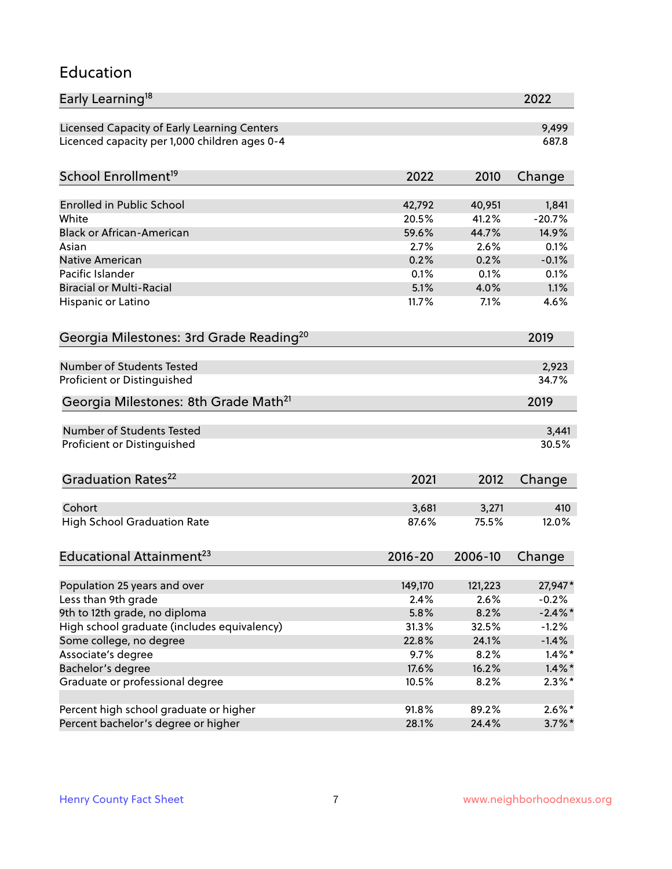#### Education

| Early Learning <sup>18</sup>                        |                |         | 2022       |
|-----------------------------------------------------|----------------|---------|------------|
| Licensed Capacity of Early Learning Centers         |                |         | 9,499      |
| Licenced capacity per 1,000 children ages 0-4       |                |         | 687.8      |
|                                                     |                |         |            |
| School Enrollment <sup>19</sup>                     | 2022           | 2010    | Change     |
| <b>Enrolled in Public School</b>                    | 42,792         | 40,951  | 1,841      |
| White                                               | 20.5%          | 41.2%   | $-20.7%$   |
| <b>Black or African-American</b>                    | 59.6%          | 44.7%   | 14.9%      |
| Asian                                               | 2.7%           | 2.6%    | 0.1%       |
| Native American                                     | 0.2%           | 0.2%    | $-0.1%$    |
| Pacific Islander                                    | 0.1%           | 0.1%    | 0.1%       |
| <b>Biracial or Multi-Racial</b>                     | 5.1%           | 4.0%    | 1.1%       |
| Hispanic or Latino                                  | 11.7%          | 7.1%    | 4.6%       |
| Georgia Milestones: 3rd Grade Reading <sup>20</sup> |                |         | 2019       |
|                                                     |                |         |            |
| <b>Number of Students Tested</b>                    |                |         | 2,923      |
| Proficient or Distinguished                         |                |         | 34.7%      |
| Georgia Milestones: 8th Grade Math <sup>21</sup>    |                |         | 2019       |
| Number of Students Tested                           |                |         | 3,441      |
| Proficient or Distinguished                         |                |         | 30.5%      |
|                                                     |                |         |            |
| Graduation Rates <sup>22</sup>                      | 2021           | 2012    | Change     |
|                                                     |                |         |            |
| Cohort                                              | 3,681<br>87.6% | 3,271   | 410        |
| <b>High School Graduation Rate</b>                  |                | 75.5%   | 12.0%      |
| Educational Attainment <sup>23</sup>                | $2016 - 20$    | 2006-10 | Change     |
|                                                     | 149,170        | 121,223 | 27,947*    |
| Population 25 years and over<br>Less than 9th grade | 2.4%           | 2.6%    | $-0.2%$    |
| 9th to 12th grade, no diploma                       | 5.8%           | 8.2%    | $-2.4\%$ * |
| High school graduate (includes equivalency)         | 31.3%          | 32.5%   | $-1.2%$    |
| Some college, no degree                             | 22.8%          | 24.1%   | $-1.4%$    |
| Associate's degree                                  | 9.7%           | 8.2%    | $1.4\%$ *  |
| Bachelor's degree                                   | 17.6%          | 16.2%   | $1.4\%$ *  |
| Graduate or professional degree                     | 10.5%          | 8.2%    | $2.3\%$ *  |
|                                                     |                |         |            |
| Percent high school graduate or higher              | 91.8%          | 89.2%   | $2.6\%*$   |
| Percent bachelor's degree or higher                 | 28.1%          | 24.4%   | $3.7\%$ *  |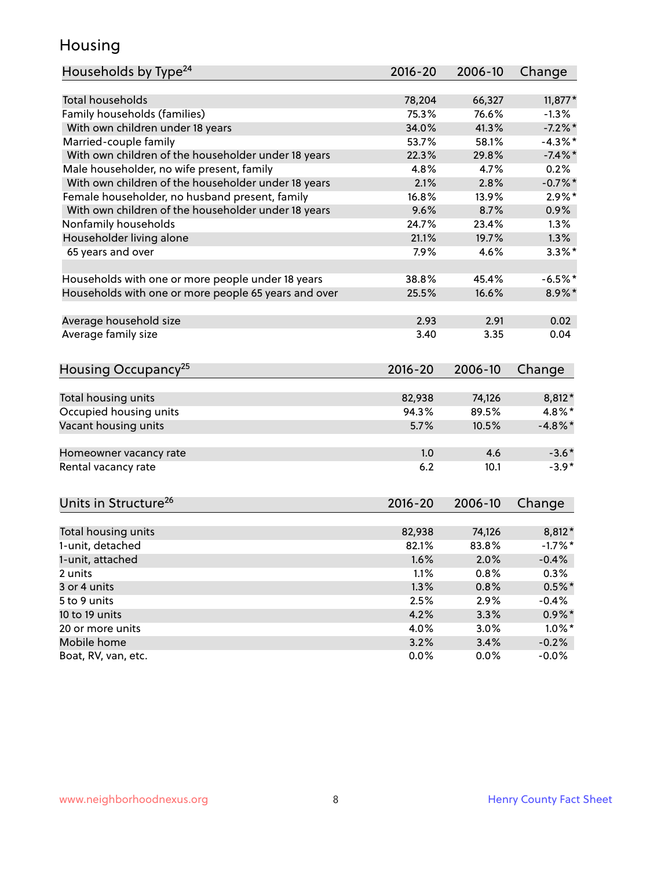### Housing

| <b>Total households</b><br>66,327<br>$11,877*$<br>78,204<br>Family households (families)<br>75.3%<br>76.6%<br>$-1.3%$<br>$-7.2%$ *<br>With own children under 18 years<br>34.0%<br>41.3%<br>Married-couple family<br>53.7%<br>58.1%<br>$-4.3\%$ *<br>With own children of the householder under 18 years<br>22.3%<br>$-7.4\%$ *<br>29.8%<br>Male householder, no wife present, family<br>4.8%<br>4.7%<br>0.2%<br>$-0.7%$ *<br>With own children of the householder under 18 years<br>2.1%<br>2.8%<br>Female householder, no husband present, family<br>16.8%<br>$2.9\%$ *<br>13.9%<br>With own children of the householder under 18 years<br>9.6%<br>0.9%<br>8.7%<br>Nonfamily households<br>1.3%<br>24.7%<br>23.4%<br>Householder living alone<br>21.1%<br>1.3%<br>19.7%<br>65 years and over<br>7.9%<br>$3.3\%$ *<br>4.6%<br>38.8%<br>45.4%<br>$-6.5%$ *<br>Households with one or more people under 18 years<br>Households with one or more people 65 years and over<br>25.5%<br>16.6%<br>8.9%*<br>Average household size<br>0.02<br>2.93<br>2.91<br>Average family size<br>0.04<br>3.40<br>3.35<br>2016-20<br>Change<br>2006-10<br>Total housing units<br>82,938<br>74,126<br>8,812*<br>94.3%<br>4.8%*<br>Occupied housing units<br>89.5%<br>Vacant housing units<br>5.7%<br>10.5%<br>$-4.8\%$ *<br>4.6<br>1.0<br>$-3.6*$<br>Homeowner vacancy rate<br>$-3.9*$<br>Rental vacancy rate<br>6.2<br>10.1<br>Units in Structure <sup>26</sup><br>$2016 - 20$<br>2006-10<br>Change<br>74,126<br>8,812*<br>Total housing units<br>82,938<br>83.8%<br>$-1.7%$ *<br>1-unit, detached<br>82.1%<br>1-unit, attached<br>1.6%<br>2.0%<br>$-0.4%$<br>1.1%<br>0.8%<br>0.3%<br>2 units<br>1.3%<br>$0.5\%$ *<br>3 or 4 units<br>0.8%<br>2.5%<br>5 to 9 units<br>2.9%<br>$-0.4%$<br>3.3%<br>10 to 19 units<br>4.2%<br>$0.9\%$ *<br>3.0%<br>20 or more units<br>4.0%<br>$1.0\%$ *<br>Mobile home<br>3.2%<br>3.4%<br>$-0.2%$ | Households by Type <sup>24</sup> | 2016-20 | 2006-10 | Change  |
|--------------------------------------------------------------------------------------------------------------------------------------------------------------------------------------------------------------------------------------------------------------------------------------------------------------------------------------------------------------------------------------------------------------------------------------------------------------------------------------------------------------------------------------------------------------------------------------------------------------------------------------------------------------------------------------------------------------------------------------------------------------------------------------------------------------------------------------------------------------------------------------------------------------------------------------------------------------------------------------------------------------------------------------------------------------------------------------------------------------------------------------------------------------------------------------------------------------------------------------------------------------------------------------------------------------------------------------------------------------------------------------------------------------------------------------------------------------------------------------------------------------------------------------------------------------------------------------------------------------------------------------------------------------------------------------------------------------------------------------------------------------------------------------------------------------------------------------------------------------------------------------------------------------|----------------------------------|---------|---------|---------|
|                                                                                                                                                                                                                                                                                                                                                                                                                                                                                                                                                                                                                                                                                                                                                                                                                                                                                                                                                                                                                                                                                                                                                                                                                                                                                                                                                                                                                                                                                                                                                                                                                                                                                                                                                                                                                                                                                                              |                                  |         |         |         |
|                                                                                                                                                                                                                                                                                                                                                                                                                                                                                                                                                                                                                                                                                                                                                                                                                                                                                                                                                                                                                                                                                                                                                                                                                                                                                                                                                                                                                                                                                                                                                                                                                                                                                                                                                                                                                                                                                                              |                                  |         |         |         |
|                                                                                                                                                                                                                                                                                                                                                                                                                                                                                                                                                                                                                                                                                                                                                                                                                                                                                                                                                                                                                                                                                                                                                                                                                                                                                                                                                                                                                                                                                                                                                                                                                                                                                                                                                                                                                                                                                                              |                                  |         |         |         |
|                                                                                                                                                                                                                                                                                                                                                                                                                                                                                                                                                                                                                                                                                                                                                                                                                                                                                                                                                                                                                                                                                                                                                                                                                                                                                                                                                                                                                                                                                                                                                                                                                                                                                                                                                                                                                                                                                                              |                                  |         |         |         |
|                                                                                                                                                                                                                                                                                                                                                                                                                                                                                                                                                                                                                                                                                                                                                                                                                                                                                                                                                                                                                                                                                                                                                                                                                                                                                                                                                                                                                                                                                                                                                                                                                                                                                                                                                                                                                                                                                                              |                                  |         |         |         |
|                                                                                                                                                                                                                                                                                                                                                                                                                                                                                                                                                                                                                                                                                                                                                                                                                                                                                                                                                                                                                                                                                                                                                                                                                                                                                                                                                                                                                                                                                                                                                                                                                                                                                                                                                                                                                                                                                                              |                                  |         |         |         |
|                                                                                                                                                                                                                                                                                                                                                                                                                                                                                                                                                                                                                                                                                                                                                                                                                                                                                                                                                                                                                                                                                                                                                                                                                                                                                                                                                                                                                                                                                                                                                                                                                                                                                                                                                                                                                                                                                                              |                                  |         |         |         |
|                                                                                                                                                                                                                                                                                                                                                                                                                                                                                                                                                                                                                                                                                                                                                                                                                                                                                                                                                                                                                                                                                                                                                                                                                                                                                                                                                                                                                                                                                                                                                                                                                                                                                                                                                                                                                                                                                                              |                                  |         |         |         |
|                                                                                                                                                                                                                                                                                                                                                                                                                                                                                                                                                                                                                                                                                                                                                                                                                                                                                                                                                                                                                                                                                                                                                                                                                                                                                                                                                                                                                                                                                                                                                                                                                                                                                                                                                                                                                                                                                                              |                                  |         |         |         |
|                                                                                                                                                                                                                                                                                                                                                                                                                                                                                                                                                                                                                                                                                                                                                                                                                                                                                                                                                                                                                                                                                                                                                                                                                                                                                                                                                                                                                                                                                                                                                                                                                                                                                                                                                                                                                                                                                                              |                                  |         |         |         |
|                                                                                                                                                                                                                                                                                                                                                                                                                                                                                                                                                                                                                                                                                                                                                                                                                                                                                                                                                                                                                                                                                                                                                                                                                                                                                                                                                                                                                                                                                                                                                                                                                                                                                                                                                                                                                                                                                                              |                                  |         |         |         |
|                                                                                                                                                                                                                                                                                                                                                                                                                                                                                                                                                                                                                                                                                                                                                                                                                                                                                                                                                                                                                                                                                                                                                                                                                                                                                                                                                                                                                                                                                                                                                                                                                                                                                                                                                                                                                                                                                                              |                                  |         |         |         |
|                                                                                                                                                                                                                                                                                                                                                                                                                                                                                                                                                                                                                                                                                                                                                                                                                                                                                                                                                                                                                                                                                                                                                                                                                                                                                                                                                                                                                                                                                                                                                                                                                                                                                                                                                                                                                                                                                                              |                                  |         |         |         |
|                                                                                                                                                                                                                                                                                                                                                                                                                                                                                                                                                                                                                                                                                                                                                                                                                                                                                                                                                                                                                                                                                                                                                                                                                                                                                                                                                                                                                                                                                                                                                                                                                                                                                                                                                                                                                                                                                                              |                                  |         |         |         |
|                                                                                                                                                                                                                                                                                                                                                                                                                                                                                                                                                                                                                                                                                                                                                                                                                                                                                                                                                                                                                                                                                                                                                                                                                                                                                                                                                                                                                                                                                                                                                                                                                                                                                                                                                                                                                                                                                                              |                                  |         |         |         |
|                                                                                                                                                                                                                                                                                                                                                                                                                                                                                                                                                                                                                                                                                                                                                                                                                                                                                                                                                                                                                                                                                                                                                                                                                                                                                                                                                                                                                                                                                                                                                                                                                                                                                                                                                                                                                                                                                                              |                                  |         |         |         |
|                                                                                                                                                                                                                                                                                                                                                                                                                                                                                                                                                                                                                                                                                                                                                                                                                                                                                                                                                                                                                                                                                                                                                                                                                                                                                                                                                                                                                                                                                                                                                                                                                                                                                                                                                                                                                                                                                                              |                                  |         |         |         |
|                                                                                                                                                                                                                                                                                                                                                                                                                                                                                                                                                                                                                                                                                                                                                                                                                                                                                                                                                                                                                                                                                                                                                                                                                                                                                                                                                                                                                                                                                                                                                                                                                                                                                                                                                                                                                                                                                                              |                                  |         |         |         |
|                                                                                                                                                                                                                                                                                                                                                                                                                                                                                                                                                                                                                                                                                                                                                                                                                                                                                                                                                                                                                                                                                                                                                                                                                                                                                                                                                                                                                                                                                                                                                                                                                                                                                                                                                                                                                                                                                                              |                                  |         |         |         |
|                                                                                                                                                                                                                                                                                                                                                                                                                                                                                                                                                                                                                                                                                                                                                                                                                                                                                                                                                                                                                                                                                                                                                                                                                                                                                                                                                                                                                                                                                                                                                                                                                                                                                                                                                                                                                                                                                                              | Housing Occupancy <sup>25</sup>  |         |         |         |
|                                                                                                                                                                                                                                                                                                                                                                                                                                                                                                                                                                                                                                                                                                                                                                                                                                                                                                                                                                                                                                                                                                                                                                                                                                                                                                                                                                                                                                                                                                                                                                                                                                                                                                                                                                                                                                                                                                              |                                  |         |         |         |
|                                                                                                                                                                                                                                                                                                                                                                                                                                                                                                                                                                                                                                                                                                                                                                                                                                                                                                                                                                                                                                                                                                                                                                                                                                                                                                                                                                                                                                                                                                                                                                                                                                                                                                                                                                                                                                                                                                              |                                  |         |         |         |
|                                                                                                                                                                                                                                                                                                                                                                                                                                                                                                                                                                                                                                                                                                                                                                                                                                                                                                                                                                                                                                                                                                                                                                                                                                                                                                                                                                                                                                                                                                                                                                                                                                                                                                                                                                                                                                                                                                              |                                  |         |         |         |
|                                                                                                                                                                                                                                                                                                                                                                                                                                                                                                                                                                                                                                                                                                                                                                                                                                                                                                                                                                                                                                                                                                                                                                                                                                                                                                                                                                                                                                                                                                                                                                                                                                                                                                                                                                                                                                                                                                              |                                  |         |         |         |
|                                                                                                                                                                                                                                                                                                                                                                                                                                                                                                                                                                                                                                                                                                                                                                                                                                                                                                                                                                                                                                                                                                                                                                                                                                                                                                                                                                                                                                                                                                                                                                                                                                                                                                                                                                                                                                                                                                              |                                  |         |         |         |
|                                                                                                                                                                                                                                                                                                                                                                                                                                                                                                                                                                                                                                                                                                                                                                                                                                                                                                                                                                                                                                                                                                                                                                                                                                                                                                                                                                                                                                                                                                                                                                                                                                                                                                                                                                                                                                                                                                              |                                  |         |         |         |
|                                                                                                                                                                                                                                                                                                                                                                                                                                                                                                                                                                                                                                                                                                                                                                                                                                                                                                                                                                                                                                                                                                                                                                                                                                                                                                                                                                                                                                                                                                                                                                                                                                                                                                                                                                                                                                                                                                              |                                  |         |         |         |
|                                                                                                                                                                                                                                                                                                                                                                                                                                                                                                                                                                                                                                                                                                                                                                                                                                                                                                                                                                                                                                                                                                                                                                                                                                                                                                                                                                                                                                                                                                                                                                                                                                                                                                                                                                                                                                                                                                              |                                  |         |         |         |
|                                                                                                                                                                                                                                                                                                                                                                                                                                                                                                                                                                                                                                                                                                                                                                                                                                                                                                                                                                                                                                                                                                                                                                                                                                                                                                                                                                                                                                                                                                                                                                                                                                                                                                                                                                                                                                                                                                              |                                  |         |         |         |
|                                                                                                                                                                                                                                                                                                                                                                                                                                                                                                                                                                                                                                                                                                                                                                                                                                                                                                                                                                                                                                                                                                                                                                                                                                                                                                                                                                                                                                                                                                                                                                                                                                                                                                                                                                                                                                                                                                              |                                  |         |         |         |
|                                                                                                                                                                                                                                                                                                                                                                                                                                                                                                                                                                                                                                                                                                                                                                                                                                                                                                                                                                                                                                                                                                                                                                                                                                                                                                                                                                                                                                                                                                                                                                                                                                                                                                                                                                                                                                                                                                              |                                  |         |         |         |
|                                                                                                                                                                                                                                                                                                                                                                                                                                                                                                                                                                                                                                                                                                                                                                                                                                                                                                                                                                                                                                                                                                                                                                                                                                                                                                                                                                                                                                                                                                                                                                                                                                                                                                                                                                                                                                                                                                              |                                  |         |         |         |
|                                                                                                                                                                                                                                                                                                                                                                                                                                                                                                                                                                                                                                                                                                                                                                                                                                                                                                                                                                                                                                                                                                                                                                                                                                                                                                                                                                                                                                                                                                                                                                                                                                                                                                                                                                                                                                                                                                              |                                  |         |         |         |
|                                                                                                                                                                                                                                                                                                                                                                                                                                                                                                                                                                                                                                                                                                                                                                                                                                                                                                                                                                                                                                                                                                                                                                                                                                                                                                                                                                                                                                                                                                                                                                                                                                                                                                                                                                                                                                                                                                              |                                  |         |         |         |
|                                                                                                                                                                                                                                                                                                                                                                                                                                                                                                                                                                                                                                                                                                                                                                                                                                                                                                                                                                                                                                                                                                                                                                                                                                                                                                                                                                                                                                                                                                                                                                                                                                                                                                                                                                                                                                                                                                              |                                  |         |         |         |
|                                                                                                                                                                                                                                                                                                                                                                                                                                                                                                                                                                                                                                                                                                                                                                                                                                                                                                                                                                                                                                                                                                                                                                                                                                                                                                                                                                                                                                                                                                                                                                                                                                                                                                                                                                                                                                                                                                              |                                  |         |         |         |
|                                                                                                                                                                                                                                                                                                                                                                                                                                                                                                                                                                                                                                                                                                                                                                                                                                                                                                                                                                                                                                                                                                                                                                                                                                                                                                                                                                                                                                                                                                                                                                                                                                                                                                                                                                                                                                                                                                              |                                  |         |         |         |
|                                                                                                                                                                                                                                                                                                                                                                                                                                                                                                                                                                                                                                                                                                                                                                                                                                                                                                                                                                                                                                                                                                                                                                                                                                                                                                                                                                                                                                                                                                                                                                                                                                                                                                                                                                                                                                                                                                              | Boat, RV, van, etc.              | 0.0%    | 0.0%    | $-0.0%$ |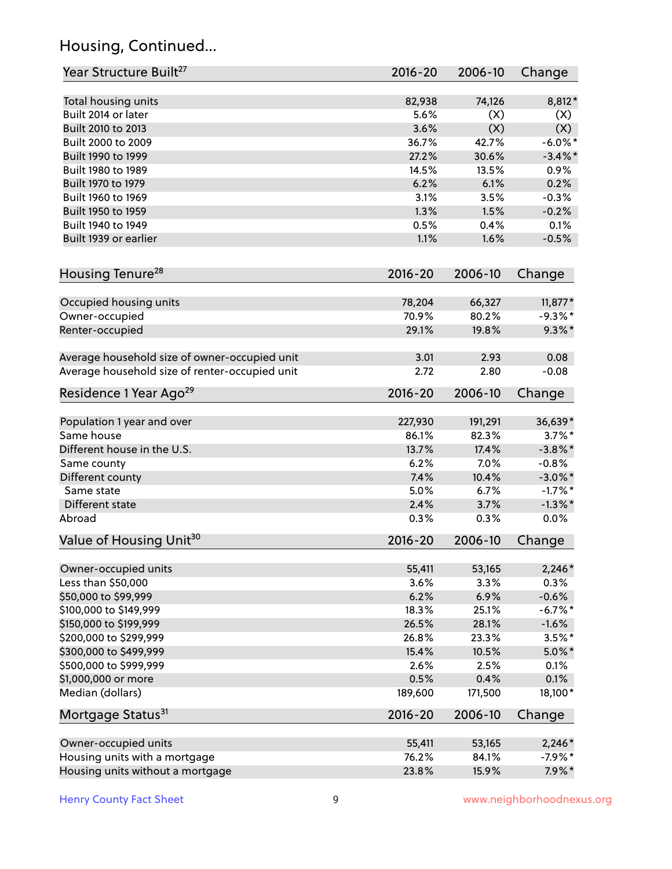# Housing, Continued...

| Year Structure Built <sup>27</sup>             | 2016-20     | 2006-10 | Change     |
|------------------------------------------------|-------------|---------|------------|
| Total housing units                            | 82,938      | 74,126  | 8,812*     |
| Built 2014 or later                            | 5.6%        | (X)     | (X)        |
| Built 2010 to 2013                             | 3.6%        | (X)     | (X)        |
| Built 2000 to 2009                             | 36.7%       | 42.7%   | $-6.0\%$ * |
| Built 1990 to 1999                             | 27.2%       | 30.6%   | $-3.4\%$ * |
| Built 1980 to 1989                             | 14.5%       | 13.5%   | 0.9%       |
| Built 1970 to 1979                             | 6.2%        | 6.1%    | 0.2%       |
| Built 1960 to 1969                             | 3.1%        | 3.5%    | $-0.3%$    |
| Built 1950 to 1959                             | 1.3%        | 1.5%    | $-0.2%$    |
| Built 1940 to 1949                             | 0.5%        | 0.4%    | 0.1%       |
| Built 1939 or earlier                          | 1.1%        | 1.6%    | $-0.5%$    |
| Housing Tenure <sup>28</sup>                   | $2016 - 20$ | 2006-10 | Change     |
| Occupied housing units                         | 78,204      | 66,327  | $11,877*$  |
| Owner-occupied                                 | 70.9%       | 80.2%   | $-9.3\%$ * |
| Renter-occupied                                | 29.1%       | 19.8%   | $9.3\%$ *  |
| Average household size of owner-occupied unit  | 3.01        | 2.93    | 0.08       |
| Average household size of renter-occupied unit | 2.72        | 2.80    | $-0.08$    |
| Residence 1 Year Ago <sup>29</sup>             | 2016-20     | 2006-10 | Change     |
| Population 1 year and over                     | 227,930     | 191,291 | 36,639*    |
| Same house                                     | 86.1%       | 82.3%   | $3.7\%$ *  |
| Different house in the U.S.                    | 13.7%       | 17.4%   | $-3.8\%$ * |
| Same county                                    | 6.2%        | 7.0%    | $-0.8%$    |
| Different county                               | 7.4%        | 10.4%   | $-3.0\%$ * |
| Same state                                     | 5.0%        | 6.7%    | $-1.7%$ *  |
| Different state                                | 2.4%        | 3.7%    | $-1.3\%$ * |
| Abroad                                         | 0.3%        | 0.3%    | 0.0%       |
| Value of Housing Unit <sup>30</sup>            | $2016 - 20$ | 2006-10 | Change     |
| Owner-occupied units                           | 55,411      | 53,165  | $2,246*$   |
| Less than \$50,000                             | 3.6%        | 3.3%    | 0.3%       |
| \$50,000 to \$99,999                           | 6.2%        | 6.9%    | $-0.6%$    |
| \$100,000 to \$149,999                         | 18.3%       | 25.1%   | $-6.7%$ *  |
| \$150,000 to \$199,999                         | 26.5%       | 28.1%   | $-1.6%$    |
| \$200,000 to \$299,999                         | 26.8%       | 23.3%   | $3.5%$ *   |
| \$300,000 to \$499,999                         | 15.4%       | 10.5%   | $5.0\%$ *  |
| \$500,000 to \$999,999                         | 2.6%        | 2.5%    | 0.1%       |
| \$1,000,000 or more                            | 0.5%        | 0.4%    | 0.1%       |
| Median (dollars)                               | 189,600     | 171,500 | 18,100*    |
| Mortgage Status <sup>31</sup>                  | $2016 - 20$ | 2006-10 | Change     |
| Owner-occupied units                           | 55,411      | 53,165  | $2,246*$   |
| Housing units with a mortgage                  | 76.2%       | 84.1%   | $-7.9%$ *  |
| Housing units without a mortgage               | 23.8%       | 15.9%   | $7.9\%*$   |
|                                                |             |         |            |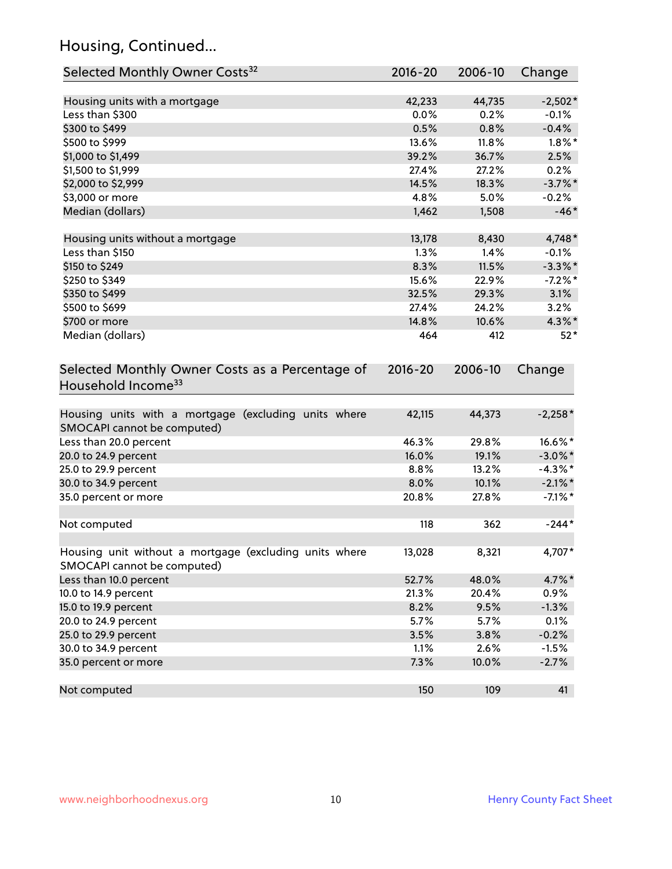# Housing, Continued...

| Selected Monthly Owner Costs <sup>32</sup>                                            | 2016-20     | 2006-10 | Change     |
|---------------------------------------------------------------------------------------|-------------|---------|------------|
| Housing units with a mortgage                                                         | 42,233      | 44,735  | $-2,502*$  |
| Less than \$300                                                                       | 0.0%        | 0.2%    | $-0.1%$    |
| \$300 to \$499                                                                        | 0.5%        | 0.8%    | $-0.4%$    |
| \$500 to \$999                                                                        | 13.6%       | 11.8%   | $1.8\%$ *  |
| \$1,000 to \$1,499                                                                    | 39.2%       | 36.7%   | 2.5%       |
| \$1,500 to \$1,999                                                                    | 27.4%       | 27.2%   | 0.2%       |
| \$2,000 to \$2,999                                                                    | 14.5%       | 18.3%   | $-3.7%$ *  |
| \$3,000 or more                                                                       | 4.8%        | 5.0%    | $-0.2%$    |
| Median (dollars)                                                                      | 1,462       | 1,508   | $-46*$     |
| Housing units without a mortgage                                                      | 13,178      | 8,430   | 4,748*     |
| Less than \$150                                                                       | 1.3%        | 1.4%    | $-0.1%$    |
| \$150 to \$249                                                                        | 8.3%        | 11.5%   | $-3.3\%$ * |
| \$250 to \$349                                                                        | 15.6%       | 22.9%   | $-7.2%$ *  |
| \$350 to \$499                                                                        | 32.5%       | 29.3%   | 3.1%       |
| \$500 to \$699                                                                        | 27.4%       | 24.2%   | 3.2%       |
| \$700 or more                                                                         | 14.8%       | 10.6%   | $4.3\%$ *  |
| Median (dollars)                                                                      | 464         | 412     | $52*$      |
| Selected Monthly Owner Costs as a Percentage of<br>Household Income <sup>33</sup>     | $2016 - 20$ | 2006-10 | Change     |
| Housing units with a mortgage (excluding units where<br>SMOCAPI cannot be computed)   | 42,115      | 44,373  | $-2,258*$  |
| Less than 20.0 percent                                                                | 46.3%       | 29.8%   | 16.6%*     |
| 20.0 to 24.9 percent                                                                  | 16.0%       | 19.1%   | $-3.0\%$ * |
| 25.0 to 29.9 percent                                                                  | 8.8%        | 13.2%   | $-4.3\%$ * |
| 30.0 to 34.9 percent                                                                  | 8.0%        | 10.1%   | $-2.1\%$ * |
| 35.0 percent or more                                                                  | 20.8%       | 27.8%   | $-7.1\%$ * |
| Not computed                                                                          | 118         | 362     | $-244*$    |
| Housing unit without a mortgage (excluding units where<br>SMOCAPI cannot be computed) | 13,028      | 8,321   | 4,707*     |
| Less than 10.0 percent                                                                | 52.7%       | 48.0%   | 4.7%*      |
| 10.0 to 14.9 percent                                                                  | 21.3%       | 20.4%   | 0.9%       |
| 15.0 to 19.9 percent                                                                  | 8.2%        | 9.5%    | $-1.3%$    |
| 20.0 to 24.9 percent                                                                  | 5.7%        | 5.7%    | 0.1%       |
| 25.0 to 29.9 percent                                                                  | 3.5%        | 3.8%    | $-0.2%$    |
| 30.0 to 34.9 percent                                                                  | 1.1%        | 2.6%    | $-1.5%$    |
| 35.0 percent or more                                                                  | 7.3%        | 10.0%   | $-2.7%$    |
| Not computed                                                                          | 150         | 109     | 41         |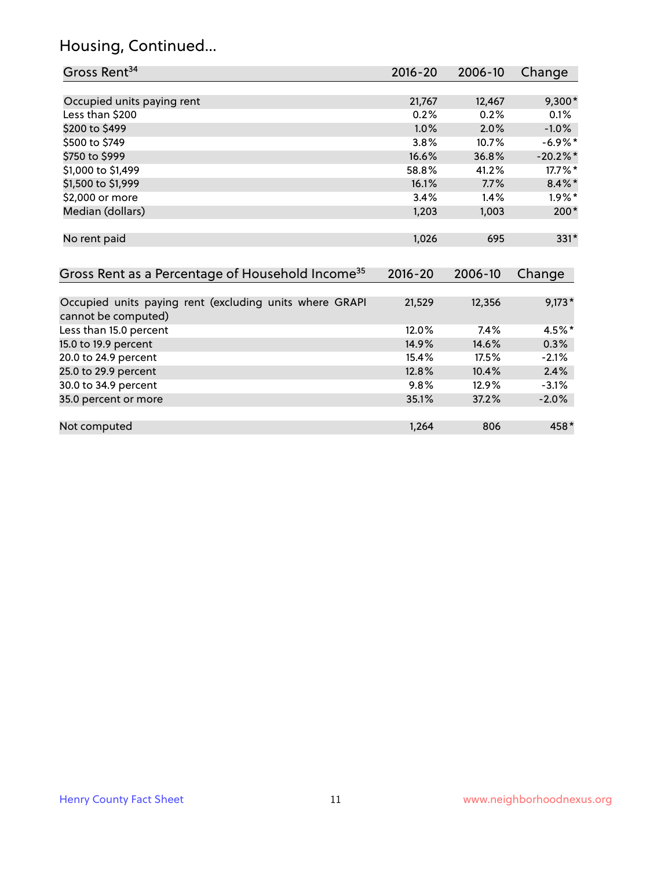# Housing, Continued...

| Gross Rent <sup>34</sup>                                                       | 2016-20     | 2006-10 | Change      |
|--------------------------------------------------------------------------------|-------------|---------|-------------|
|                                                                                |             |         |             |
| Occupied units paying rent                                                     | 21,767      | 12,467  | 9,300*      |
| Less than \$200                                                                | 0.2%        | 0.2%    | 0.1%        |
| \$200 to \$499                                                                 | 1.0%        | 2.0%    | $-1.0%$     |
| \$500 to \$749                                                                 | 3.8%        | 10.7%   | $-6.9\%$ *  |
| \$750 to \$999                                                                 | 16.6%       | 36.8%   | $-20.2\%$ * |
| \$1,000 to \$1,499                                                             | 58.8%       | 41.2%   | 17.7%*      |
| \$1,500 to \$1,999                                                             | 16.1%       | 7.7%    | $8.4\%$ *   |
| \$2,000 or more                                                                | 3.4%        | 1.4%    | $1.9\%$ *   |
| Median (dollars)                                                               | 1,203       | 1,003   | $200*$      |
| No rent paid                                                                   | 1,026       | 695     | 331*        |
| Gross Rent as a Percentage of Household Income <sup>35</sup>                   | $2016 - 20$ | 2006-10 | Change      |
| Occupied units paying rent (excluding units where GRAPI<br>cannot be computed) | 21,529      | 12,356  | $9,173*$    |
| Less than 15.0 percent                                                         | 12.0%       | 7.4%    | 4.5%*       |
| 15.0 to 19.9 percent                                                           | 14.9%       | 14.6%   | 0.3%        |
| 20.0 to 24.9 percent                                                           | 15.4%       | 17.5%   | $-2.1%$     |
| 25.0 to 29.9 percent                                                           | 12.8%       | 10.4%   | 2.4%        |
| 30.0 to 34.9 percent                                                           | 9.8%        | 12.9%   | $-3.1%$     |
| 35.0 percent or more                                                           | 35.1%       | 37.2%   | $-2.0%$     |
| Not computed                                                                   | 1,264       | 806     | 458*        |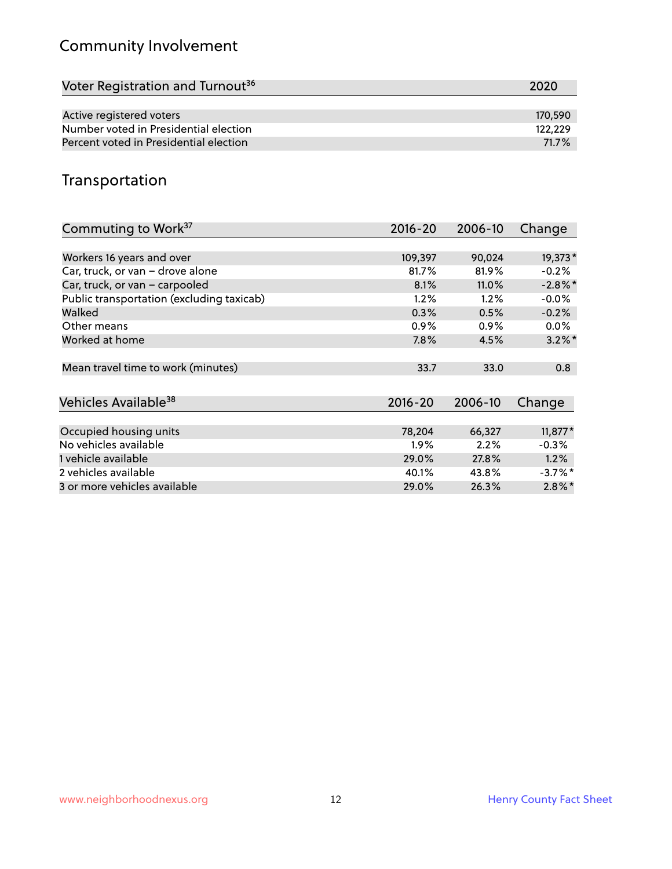# Community Involvement

| Voter Registration and Turnout <sup>36</sup> | 2020    |
|----------------------------------------------|---------|
|                                              |         |
| Active registered voters                     | 170,590 |
| Number voted in Presidential election        | 122.229 |
| Percent voted in Presidential election       | 71.7%   |

### Transportation

| Commuting to Work <sup>37</sup>           | 2016-20     | 2006-10 | Change     |
|-------------------------------------------|-------------|---------|------------|
|                                           |             |         |            |
| Workers 16 years and over                 | 109,397     | 90,024  | 19,373*    |
| Car, truck, or van - drove alone          | 81.7%       | 81.9%   | $-0.2%$    |
| Car, truck, or van - carpooled            | 8.1%        | 11.0%   | $-2.8\%$ * |
| Public transportation (excluding taxicab) | 1.2%        | $1.2\%$ | $-0.0%$    |
| Walked                                    | 0.3%        | 0.5%    | $-0.2%$    |
| Other means                               | $0.9\%$     | $0.9\%$ | $0.0\%$    |
| Worked at home                            | 7.8%        | 4.5%    | $3.2\%$ *  |
|                                           |             |         |            |
| Mean travel time to work (minutes)        | 33.7        | 33.0    | 0.8        |
|                                           |             |         |            |
| Vehicles Available <sup>38</sup>          | $2016 - 20$ | 2006-10 | Change     |
|                                           |             |         |            |
| Occupied housing units                    | 78,204      | 66,327  | $11,877*$  |
| No vehicles available                     | $1.9\%$     | 2.2%    | $-0.3%$    |
| 1 vehicle available                       | 29.0%       | 27.8%   | 1.2%       |
| 2 vehicles available                      | 40.1%       | 43.8%   | $-3.7\%$ * |
| 3 or more vehicles available              | 29.0%       | 26.3%   | $2.8\%$ *  |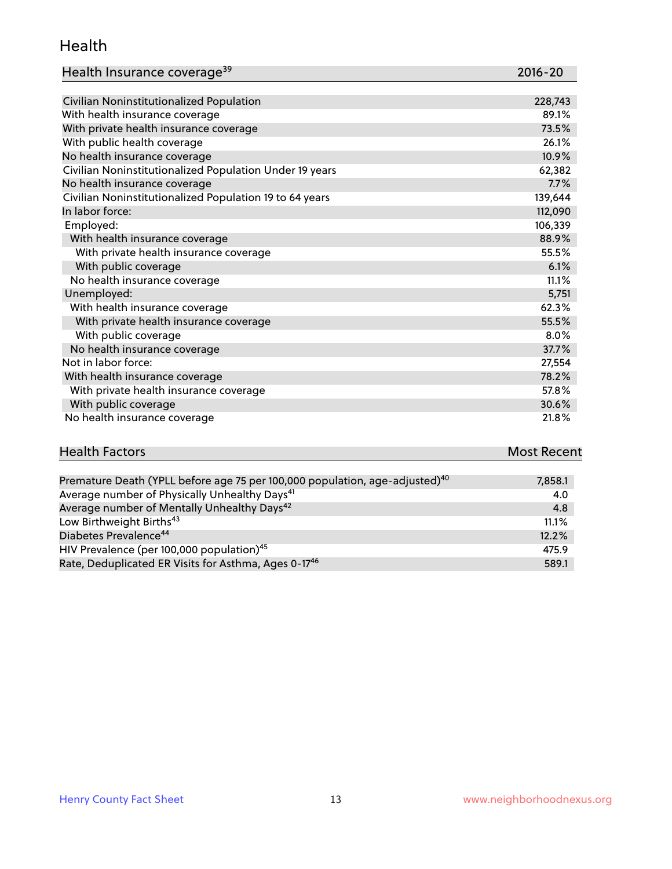#### Health

| Health Insurance coverage <sup>39</sup> | 2016-20 |
|-----------------------------------------|---------|
|-----------------------------------------|---------|

| Civilian Noninstitutionalized Population                | 228,743 |
|---------------------------------------------------------|---------|
| With health insurance coverage                          | 89.1%   |
| With private health insurance coverage                  | 73.5%   |
| With public health coverage                             | 26.1%   |
| No health insurance coverage                            | 10.9%   |
| Civilian Noninstitutionalized Population Under 19 years | 62,382  |
| No health insurance coverage                            | 7.7%    |
| Civilian Noninstitutionalized Population 19 to 64 years | 139,644 |
| In labor force:                                         | 112,090 |
| Employed:                                               | 106,339 |
| With health insurance coverage                          | 88.9%   |
| With private health insurance coverage                  | 55.5%   |
| With public coverage                                    | 6.1%    |
| No health insurance coverage                            | 11.1%   |
| Unemployed:                                             | 5,751   |
| With health insurance coverage                          | 62.3%   |
| With private health insurance coverage                  | 55.5%   |
| With public coverage                                    | 8.0%    |
| No health insurance coverage                            | 37.7%   |
| Not in labor force:                                     | 27,554  |
| With health insurance coverage                          | 78.2%   |
| With private health insurance coverage                  | 57.8%   |
| With public coverage                                    | 30.6%   |
| No health insurance coverage                            | 21.8%   |

# **Health Factors Most Recent** And The Control of the Control of The Control of The Control of The Control of The Control of The Control of The Control of The Control of The Control of The Control of The Control of The Contr

| Premature Death (YPLL before age 75 per 100,000 population, age-adjusted) <sup>40</sup> | 7,858.1 |
|-----------------------------------------------------------------------------------------|---------|
| Average number of Physically Unhealthy Days <sup>41</sup>                               | 4.0     |
| Average number of Mentally Unhealthy Days <sup>42</sup>                                 | 4.8     |
| Low Birthweight Births <sup>43</sup>                                                    | 11.1%   |
| Diabetes Prevalence <sup>44</sup>                                                       | 12.2%   |
| HIV Prevalence (per 100,000 population) <sup>45</sup>                                   | 475.9   |
| Rate, Deduplicated ER Visits for Asthma, Ages 0-17 <sup>46</sup>                        | 589.1   |